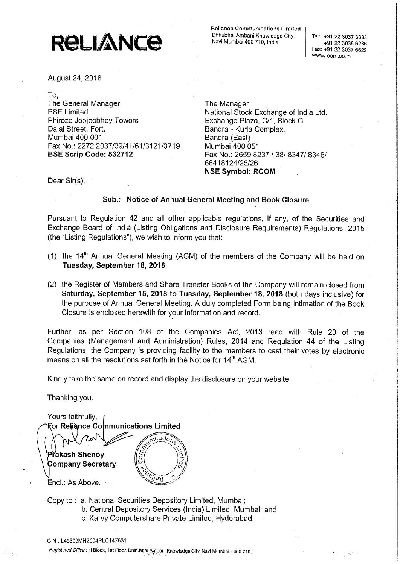## **RELIANCE**

Rollance Communications Limited Dhlrubhal Ambeni Knowledge City Navl Mumbal <sup>400</sup> 710,

+91 22 3038 6286 Fax: +91 22 3037 6622 Www.rcom.co.ln

August 24, 2018

To,

The General Manager The Manager BSE Limited **National Stock Exchange of India Ltd.** Phiroze Jeejeebhoy Towers **Exchange Plaza, C/1, Block G** Dalal Street, Fort, **Bandra - Kurla Complex**, Mumbai 400 001 Bandra (East) Fax No.: 2272 2037/39/41/61/3121/3719 Mumbai 400 051

**BSE Scrip Code: 532712** Fax No.: 2659 8237 / 38/ 8347/ 8348/ 66418124/25/26 NSE Symbol: RCOM

Dear Sir(s),

## Sub.: Notice of Annual General Meeting and Book Closure

Pursuant to Regulation 42 and all other applicable regulations, if any, of the Securities and Exchange Board of India (Listing Obligations and Disclosure Requirements) Regulations, 2015 (the "Listing Regulations"), we wish to inform you that:

- (1) the  $14<sup>th</sup>$  Annual General Meeting (AGM) of the members of the Company will be held on Tuesday, September 18, 2018.
- (2) the Register of Members and Share Transfer Books of the Company will remain closed from Saturday, September 15, 2018 to Tuesday, September 18, 2018 (both days inclusive) for the purpose of Annual General Meeting. A duly completed Form being intimation of the Book Closure is enclosed herewith for your information and record.

(2) the Register of<br> **Saturday, Septrance of Action Contract Set of Action Closure is encident<br>
Further, as per Schange Regulations, the Companies<br>
Regulations, the Companies<br>
Kindly take the same Thanking you.<br>
Yours fai** Further, as per Section 108 of the Companies Act, 2013 read with Rule 20 of the Companies (Management and Administration) Rules, 2014 and Regulation 44 of the Listing Regulations, the Company is providing facility to the members to cast their votes by electronic means on all the resolutions set forth in the Notice for 14<sup>th</sup> AGM.

Kindly take the same on record and display the disclosure on your website

Thanking you.

Yours faithfully, **For Relîance Communications Limited** *scatic* Prakash Shenoy **Company Secretary** KG/ Encl.: As Above.

- Copy to: a. National Securities Depository Limited, Mumbai; b. Central Depository Services (India) Limited, Mumbai; and
	- c. Karvy Computershare Private Limited, Hyderabad.

Hegislered Olflcs.' Block, Isl Flool. Dhlmbhal Ambgnl Knowledge Olly. Navl Mumhei <sup>400</sup> 710.